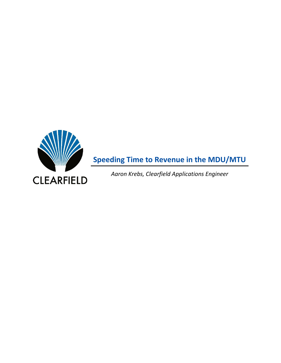

**Speeding Time to Revenue in the MDU/MTU**

*Aaron Krebs, Clearfield Applications Engineer*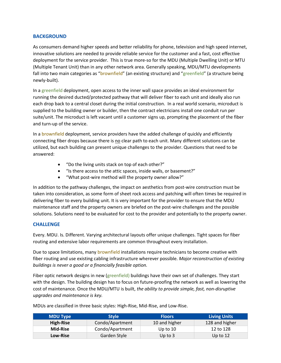### **BACKGROUND**

As consumers demand higher speeds and better reliability for phone, television and high speed internet, innovative solutions are needed to provide reliable service for the customer and a fast, cost effective deployment for the service provider. This is true more-so for the MDU (Multiple Dwelling Unit) or MTU (Multiple Tenant Unit) than in any other network area. Generally speaking, MDU/MTU developments fall into two main categories as "brownfield" (an existing structure) and "greenfield" (a structure being newly-built).

In a greenfield deployment, open access to the inner wall space provides an ideal environment for running the desired ducted/protected pathway that will deliver fiber to each unit and ideally also run each drop back to a central closet during the initial construction. In a real world scenario, microduct is supplied to the building owner or builder, then the contract electricians install one conduit run per suite/unit. The microduct is left vacant until a customer signs up, prompting the placement of the fiber and turn-up of the service.

In a **brownfield** deployment, service providers have the added challenge of quickly and efficiently connecting fiber drops because there is no clear path to each unit. Many different solutions can be utilized, but each building can present unique challenges to the provider. Questions that need to be answered:

- "Do the living units stack on top of each other?"
- "Is there access to the attic spaces, inside walls, or basement?"
- "What post-wire method will the property owner allow?"

In addition to the pathway challenges, the impact on aesthetics from post-wire construction must be taken into consideration, as some form of sheet rock access and patching will often times be required in delivering fiber to every building unit. It is very important for the provider to ensure that the MDU maintenance staff and the property owners are briefed on the post-wire challenges and the possible solutions. Solutions need to be evaluated for cost to the provider and potentially to the property owner.

## **CHALLENGE**

Every. MDU. Is. Different. Varying architectural layouts offer unique challenges. Tight spaces for fiber routing and extensive labor requirements are common throughout every installation.

Due to space limitations, many brownfield installations require technicians to become creative with fiber routing and use existing cabling infrastructure wherever possible. *Major reconstruction of existing buildings is never a good or a financially feasible option.*

Fiber optic network designs in new (greenfield) buildings have their own set of challenges. They start with the design. The building design has to focus on future-proofing the network as well as lowering the cost of maintenance. Once the MDU/MTU is built, *the ability to provide simple, fast, non-disruptive upgrades and maintenance is key.*

MDUs are classified in three basic styles: High-Rise, Mid-Rise, and Low-Rise.

| <b>MDU Type</b> | <b>Style</b>    | <b>Floors</b> | <b>Living Units</b> |
|-----------------|-----------------|---------------|---------------------|
| High-Rise       | Condo/Apartment | 10 and higher | 128 and higher      |
| Mid-Rise        | Condo/Apartment | Up to $10$    | 12 to 128           |
| Low-Rise        | Garden Style    | Up to $3$     | Up to $12$          |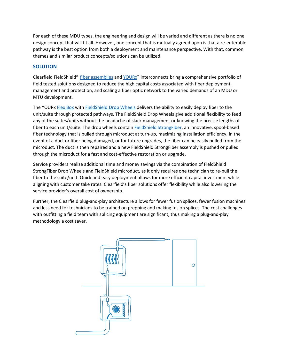For each of these MDU types, the engineering and design will be varied and different as there is no one design concept that will fit all. However, one concept that is mutually agreed upon is that a re-enterable pathway is the best option from both a deployment and maintenance perspective. With that, common themes and similar product concepts/solutions can be utilized.

# **SOLUTION**

Clearfield FieldShield® *[fiber assemblies](https://www.seeclearfield.com/products/category/fiber-drop-cables.html)* an[d YOURx](https://www.seeclearfield.com/fieldshield.html)<sup>™</sup> interconnects bring a comprehensive portfolio of field tested solutions designed to reduce the high capital costs associated with fiber deployment, management and protection, and scaling a fiber optic network to the varied demands of an MDU or MTU development.

The YOURx [Flex Box](https://www.seeclearfield.com/products/category/wall-boxes/fieldsmart-scd-flex-box.html) with FieldShield [Drop Wheels](https://www.seeclearfield.com/products/category/fiber-drop-cables/fs-strongfiber-drop-wheel.html) delivers the ability to easily deploy fiber to the unit/suite through protected pathways. The FieldShield Drop Wheels give additional flexibility to feed any of the suites/units without the headache of slack management or knowing the precise lengths of fiber to each unit/suite. The drop wheels contain [FieldShield StrongFiber,](https://www.seeclearfield.com/products/category/fiber-drop-cables/fs-strongfiber.html) an innovative, spool-based fiber technology that is pulled through microduct at turn-up, maximizing installation efficiency. In the event of a duct or fiber being damaged, or for future upgrades, the fiber can be easily pulled from the microduct. The duct is then repaired and a new FieldShield StrongFiber assembly is pushed or pulled through the microduct for a fast and cost-effective restoration or upgrade.

Service providers realize additional time and money savings via the combination of FieldShield StrongFiber Drop Wheels and FieldShield microduct, as it only requires one technician to re-pull the fiber to the suite/unit. Quick and easy deployment allows for more efficient capital investment while aligning with customer take rates. Clearfield's fiber solutions offer flexibility while also lowering the service provider's overall cost of ownership.

Further, the Clearfield plug-and-play architecture allows for fewer fusion splices, fewer fusion machines and less need for technicians to be trained on prepping and making fusion splices. The cost challenges with outfitting a field team with splicing equipment are significant, thus making a plug-and-play methodology a cost saver.